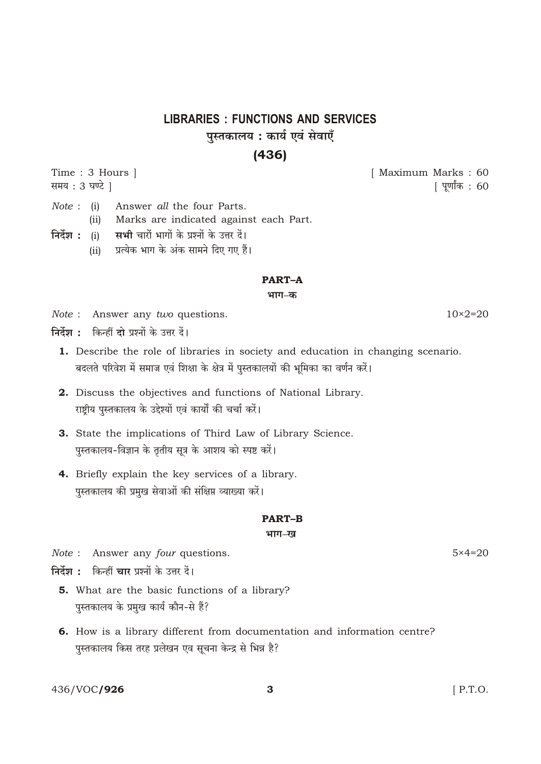# **LIBRARIES : FUNCTIONS AND SERVICES** पुस्तकालय : कार्य एवं सेवाएँ

### $(436)$

Time: 3 Hours | समय: 3 घण्टे |

[ Maximum Marks: 60 [ पूर्णांक : 60

- $Note: (i)$ Answer all the four Parts. Marks are indicated against each Part.  $(ii)$ निर्देश : (i) सभी चारों भागों के प्रश्नों के उत्तर दें।
- प्रत्येक भाग के अंक सामने दिए गए हैं।  $(ii)$

#### **PART-A**

भाग–क

- *Note*: Answer any *two* questions.
- निर्देश : किन्हीं दो प्रश्नों के उत्तर दें।
	- 1. Describe the role of libraries in society and education in changing scenario. बदलते परिवेश में समाज एवं शिक्षा के क्षेत्र में पुस्तकालयों की भूमिका का वर्णन करें।
	- 2. Discuss the objectives and functions of National Library. राष्टीय पस्तकालय के उद्देश्यों एवं कार्यों की चर्चा करें।
	- 3. State the implications of Third Law of Library Science. पुस्तकालय-विज्ञान के तृतीय सूत्र के आशय को स्पष्ट करें।
	- 4. Briefly explain the key services of a library. पुस्तकालय की प्रमुख सेवाओं की संक्षिप्त व्याख्या करें।

#### **PART-B**

#### भाग–ख

*Note* : Answer any *four* questions.

निर्देश : किन्हीं चार प्रश्नों के उत्तर दें।

- 5. What are the basic functions of a library? पुस्तकालय के प्रमुख कार्य कौन-से हैं?
- 6. How is a library different from documentation and information centre? पुस्तकालय किस तरह प्रलेखन एव सूचना केन्द्र से भिन्न है?

3

436/VOC/926

 $10 \times 2 = 20$ 

 $5 \times 4 = 20$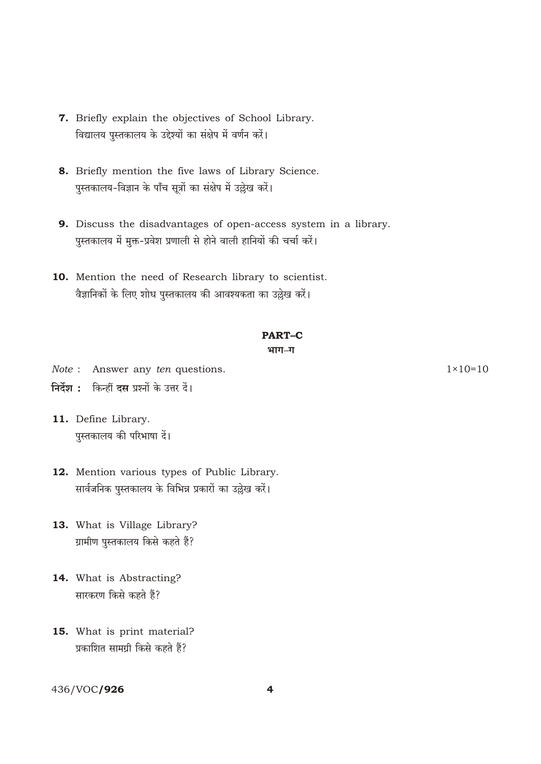- 7. Briefly explain the objectives of School Library. विद्यालय पुस्तकालय के उद्देश्यों का संक्षेप में वर्णन करें।
- 8. Briefly mention the five laws of Library Science. पुस्तकालय-विज्ञान के पाँच सूत्रों का संक्षेप में उल्लेख करें।
- 9. Discuss the disadvantages of open-access system in a library. पुस्तकालय में मुक्त-प्रवेश प्रणाली से होने वाली हानियों की चर्चा करें।
- 10. Mention the need of Research library to scientist. वैज्ञानिकों के लिए शोध पुस्तकालय की आवश्यकता का उद्घेख करें।

# **PART-C**

#### भाग–ग

- Note : Answer any ten questions.
- निर्देश : किन्हीं दस प्रश्नों के उत्तर दें।
- 11. Define Library. पुस्तकालय की परिभाषा दें।
- 12. Mention various types of Public Library. सार्वजनिक पुस्तकालय के विभिन्न प्रकारों का उल्लेख करें।
- 13. What is Village Library? ग्रामीण पस्तकालय किसे कहते हैं?
- 14. What is Abstracting? सारकरण किसे कहते हैं?
- 15. What is print material? प्रकाशित सामग्री किसे कहते हैं?

### 436/VOC/926

 $1 \times 10 = 10$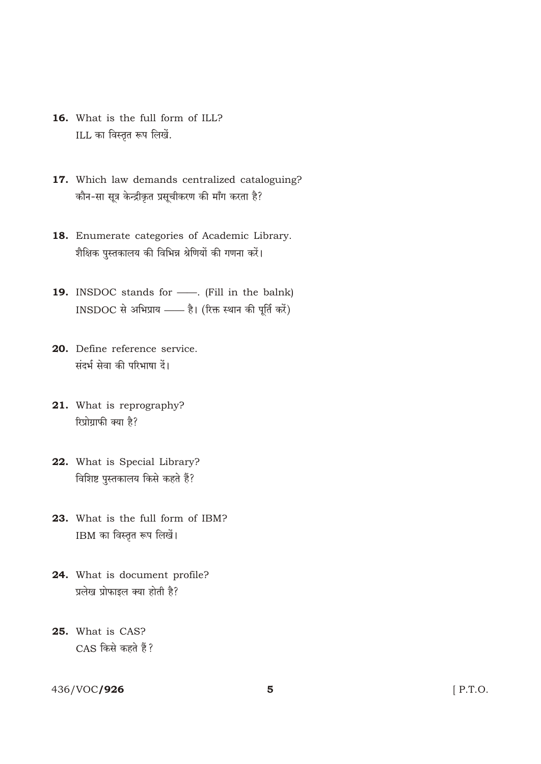- 16. What is the full form of ILL? ILL का विस्तृत रूप लिखें.
- 17. Which law demands centralized cataloguing? कौन-सा सूत्र केन्द्रीकृत प्रसूचीकरण की माँग करता है?
- 18. Enumerate categories of Academic Library. शैक्षिक पुस्तकालय की विभिन्न श्रेणियों की गणना करें।
- 19. INSDOC stands for Fill in the balnk) INSDOC से अभिप्राय -- है। (रिक्त स्थान की पूर्ति करें)
- 20. Define reference service. संदर्भ सेवा की परिभाषा दें।
- 21. What is reprography? रिप्रोग्राफी क्या है?
- 22. What is Special Library? विशिष्ट पुस्तकालय किसे कहते हैं?
- 23. What is the full form of IBM? IBM का विस्तृत रूप लिखें।
- 24. What is document profile? प्रलेख प्रोफाइल क्या होती है?
- 25. What is CAS? CAS किसे कहते हैं?

### 436/VOC/926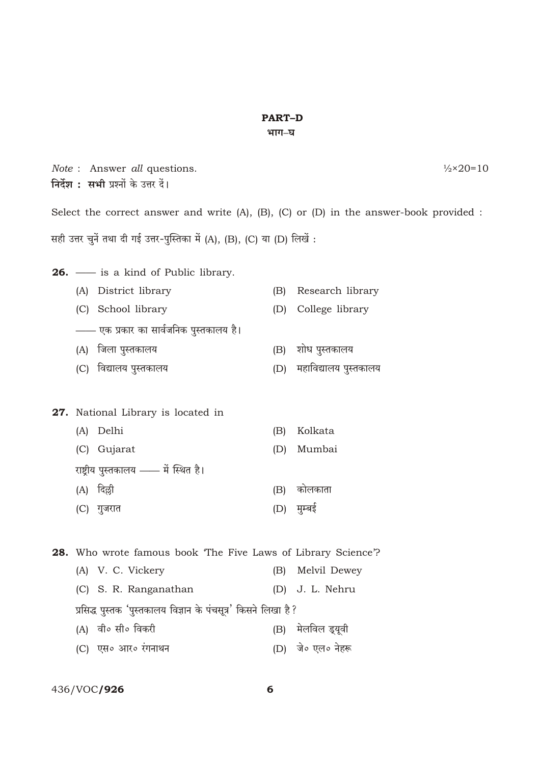## **PART-D**

#### भाग–घ

|                                                                                                  | निर्देश : सभी प्रश्नों के उत्तर दें।                                 | Note : Answer all questions. |     | $\frac{1}{2} \times 20 = 10$ |
|--------------------------------------------------------------------------------------------------|----------------------------------------------------------------------|------------------------------|-----|------------------------------|
| Select the correct answer and write $(A)$ , $(B)$ , $(C)$ or $(D)$ in the answer-book provided : |                                                                      |                              |     |                              |
| सही उत्तर चुनें तथा दी गई उत्तर-पुस्तिका में (A), (B), (C) या (D) लिखें :                        |                                                                      |                              |     |                              |
|                                                                                                  | <b>26.</b> — is a kind of Public library.                            |                              |     |                              |
|                                                                                                  | (A)                                                                  | District library             | (B) | Research library             |
|                                                                                                  | (C) School library                                                   |                              | (D) | College library              |
|                                                                                                  | —— एक प्रकार का सार्वजनिक पुस्तकालय है।                              |                              |     |                              |
|                                                                                                  | जिला पुस्तकालय<br>(A)                                                |                              | (B) | शोध पुस्तकालय                |
|                                                                                                  | (C)                                                                  | विद्यालय पुस्तकालय           | (D) | महाविद्यालय पुस्तकालय        |
|                                                                                                  | 27. National Library is located in                                   |                              |     |                              |
|                                                                                                  | Delhi<br>(A)                                                         |                              | (B) | Kolkata                      |
|                                                                                                  | (C) Gujarat                                                          |                              | (D) | Mumbai                       |
|                                                                                                  | राष्ट्रीय पुस्तकालय —— में स्थित है।                                 |                              |     |                              |
|                                                                                                  | दिल्ली<br>(A)                                                        |                              | (B) | कोलकाता                      |
|                                                                                                  | (C) गुजरात                                                           |                              | (D) | मुम्बई                       |
|                                                                                                  | <b>28.</b> Who wrote famous book 'The Five Laws of Library Science'? |                              |     |                              |
|                                                                                                  | (A) V. C. Vickery                                                    |                              | (B) | Melvil Dewey                 |
|                                                                                                  | (C)                                                                  | S. R. Ranganathan            | (D) | J. L. Nehru                  |
|                                                                                                  | प्रसिद्ध पुस्तक 'पुस्तकालय विज्ञान के पंचसूत्र' किसने लिखा है ?      |                              |     |                              |
|                                                                                                  | वी० सी० विकरी<br>(A)                                                 |                              | (B) | मेलविल ड्यूवी                |
|                                                                                                  | (C)                                                                  | एस० आर० रंगनाथन              | (D) | जे० एल० नेहरू                |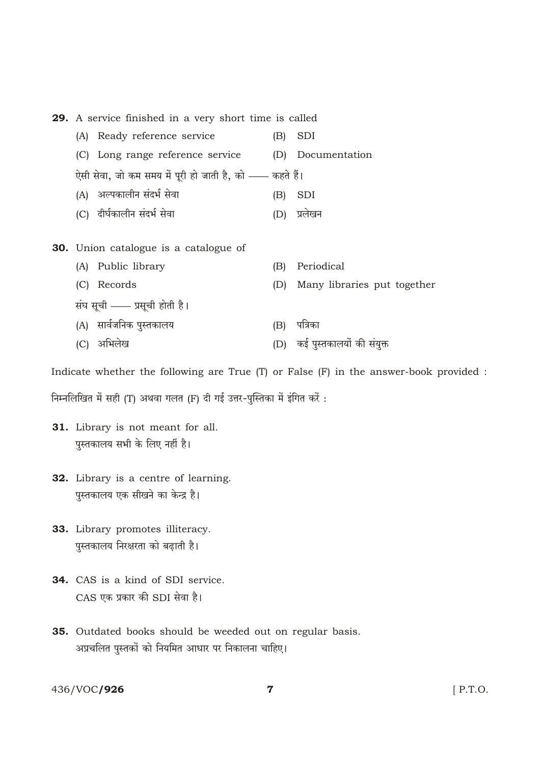29. A service finished in a very short time is called

- (A) Ready reference service  $(B)$  SDI
- (C) Long range reference service (D) Documentation

.<br>ऐसी सेवा, जो कम समय में पूरी हो जाती है, को —— कहते हैं।

- (A) अल्पकालीन संदर्भ सेवा  $(B)$  SDI
- (C) दीर्घकालीन संदर्भ सेवा (D) प्रलेखन

#### **30.** Union catalogue is a catalogue of

(A) Public library (B) Periodical (C) Records (D) Many libraries put together संघ सूची - प्रसूची होती है। (A) सार्वजनिक पुस्तकालय (B) पत्रिका (D) कई पुस्तकालयों की संयुक्त (C) अभिलेख

Indicate whether the following are True (T) or False (F) in the answer-book provided :

निम्नलिखित में सही (T) अथवा गलत (F) दी गई उत्तर-पुस्तिका में इंगित करें:

- 31. Library is not meant for all. पुस्तकालय सभी के लिए नहीं है।
- 32. Library is a centre of learning. पुस्तकालय एक सीखने का केन्द्र है।
- 33. Library promotes illiteracy. पुस्तकालय निरक्षरता को बढ़ाती है।
- 34. CAS is a kind of SDI service. CAS एक प्रकार की SDI सेवा है।
- 35. Outdated books should be weeded out on regular basis. अप्रचलित पुस्तकों को नियमित आधार पर निकालना चाहिए।

436/VOC/926